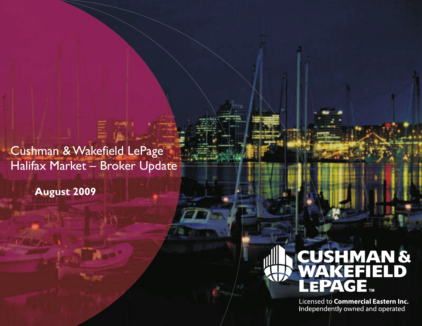Cushman & Wakefield LePage Halifax Market – Broker Update

**August 2009**

# **CUSHMAN &<br>WAKEFIELD** AGE.

Licensed to **Commercial Eastern Inc.**<br>Independently owned and operated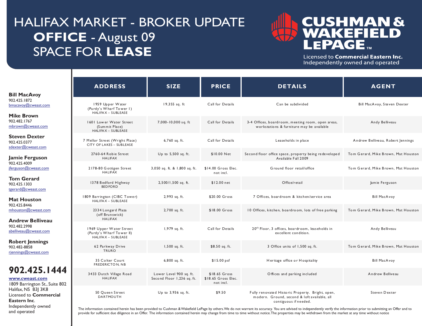## HALIFAX MARKET - BROKER UPDATE **OFFICE** - August 09 SPACE FOR **LEASE**

I

I

and operated



Licensed to Commercial Eastern Inc. Independently owned and operated

|                                                                                      | <b>ADDRESS</b>                                                                              | <b>SIZE</b>                                                                                                                                                 | <b>PRICE</b>                                      | <b>DETAILS</b>                                                                                                                                                                                               | <b>AGENT</b>                        |
|--------------------------------------------------------------------------------------|---------------------------------------------------------------------------------------------|-------------------------------------------------------------------------------------------------------------------------------------------------------------|---------------------------------------------------|--------------------------------------------------------------------------------------------------------------------------------------------------------------------------------------------------------------|-------------------------------------|
| <b>Bill MacAvoy</b>                                                                  |                                                                                             |                                                                                                                                                             |                                                   |                                                                                                                                                                                                              |                                     |
| 902.425.1872<br>bmacavoy@cweast.com                                                  | 1959 Upper Water<br>(Purdy's Wharf Tower I)<br><b>HALIFAX - SUBLEASE</b>                    | 19,355 sq. ft                                                                                                                                               | Call for Details                                  | Can be subdivided                                                                                                                                                                                            | Bill MacAvoy, Steven Dexter         |
| <b>Mike Brown</b><br>902.482.1767<br>mbrown@cweast.com                               | 1601 Lower Water Street<br>(Summit Place)<br><b>HALIFAX - SUBLEASE</b>                      | 7,000-10,000 sq. ft                                                                                                                                         | Call for Details                                  | 3-4 Offices, boardroom, meeting room, open areas,<br>workstations & furniture may be available                                                                                                               | Andy Belliveau                      |
| <b>Steven Dexter</b><br>902.425.0377<br>sdexter@cweast.com                           | 7 Mellor Street (Wright Place)<br>CITY OF LAKES - SUBLEASE                                  | 6,760 sq. ft.                                                                                                                                               | Call for Details                                  | Leaseholds in place                                                                                                                                                                                          | Andrew Belliveau, Robert Jennings   |
| Jamie Ferguson                                                                       | 2760-64 Robie Street<br><b>HALIFAX</b>                                                      | Up to 5,500 sq. ft.                                                                                                                                         | \$10.00 Net                                       | Second floor office space, property being redeveloped<br>Available Fall 2009                                                                                                                                 | Tom Gerard, Mike Brown, Mat Houston |
| 902.425.4009<br>jferguson@cweast.com                                                 | 2178-80 Gottigen Street<br><b>HALIFAX</b>                                                   | 3,050 sq. ft. & 1,800 sq. ft.                                                                                                                               | \$14.00 Gross Elec.<br>not incl.                  | Ground floor retail/office                                                                                                                                                                                   | Tom Gerard, Mike Brown, Mat Houston |
| <b>Tom Gerard</b><br>902.425.1303<br>tgerard@cweast.com                              | 1378 Bedford Highway<br><b>BED FORD</b>                                                     | 2,500/1,500 sq. ft.                                                                                                                                         | \$12.00 net                                       | Office/retail                                                                                                                                                                                                | Jamie Ferguson                      |
| <b>Mat Houston</b>                                                                   | 1809 Barrington (CIBC Tower)<br>HALIFAX - SUBLEASE                                          | 2,993 sq. ft.                                                                                                                                               | \$20.00 Gross                                     | 7 Offices, boardroom & kitchen/service area                                                                                                                                                                  | <b>Bill MacAvoy</b>                 |
| 902.425.8446<br>mhouston@cweast.com                                                  | 2334 Longard Plaza<br>(off Brunswick)                                                       | 2,700 sq. ft.                                                                                                                                               | \$18.00 Gross                                     | 10 Offices, kitchen, boardroom, lots of free parking                                                                                                                                                         | Tom Gerard, Mike Brown, Mat Houston |
| <b>Andrew Belliveau</b><br>902.482.2998<br>abelliveau@cweast.com                     | <b>HALIFAX</b><br>1969 Upper Water Street<br>(Purdy's Wharf Tower II)<br>HALIFAX - SUBLEASE | 1,979 sq. ft.                                                                                                                                               | Call for Details                                  | 20 <sup>th</sup> Floor, 3 offices, boardroom, leaseholds in<br>excellent condition.                                                                                                                          | Andy Belliveau                      |
| <b>Robert Jennings</b><br>902.482-8858<br>rjennings@cweast.com                       | 62 Parkway Drive<br><b>TRURO</b>                                                            | 1,500 sq. ft.                                                                                                                                               | \$8.50 sq. ft.                                    | 3 Office units of 1,500 sq. ft.                                                                                                                                                                              | Tom Gerard, Mike Brown, Mat Houston |
|                                                                                      | 35 Colter Court<br><b>FREDERICTON, NB</b>                                                   | $6,800$ sq. ft.                                                                                                                                             | $$15.00$ psf                                      | Heritage office or Hospitality                                                                                                                                                                               | <b>Bill MacAvoy</b>                 |
| 902.425.1444<br>www.cweast.com<br>1809 Barrington St., Suite 802                     | 3433 Dutch Village Road<br><b>HALIFAX</b>                                                   | Lower Level 900 sq. ft.<br>Second Floor 1,236 sq. ft.                                                                                                       | \$18.65 Gross<br>\$18.65 Gross Elec.<br>not incl. | Offices and parking included                                                                                                                                                                                 | Andrew Belliveau                    |
| Halifax, NS B3  3K8<br>Licensed to Commercial<br>Eastern Inc.<br>Independently owned | 50 Queen Street<br><b>DARTMOUTH</b>                                                         | Up to 3,936 sq. ft.<br>$\mathcal{L}$ as $\mathcal{L}$ is the same $\mathbf{0}$ McI is $\mathcal{L}$ and $\mathcal{L}$ . The same base of the same MA is the | \$9.50                                            | Fully renovated Historic Property. Bright, open,<br>modern. Ground, second & loft available, all<br>contiguous if needed.<br>March and the design discovered and an alternative control also that concerns a | Steven Dexter                       |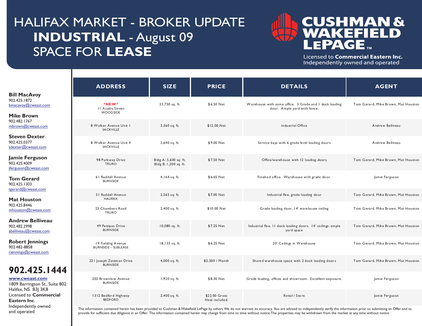## HALIFAX MARKET - BROKER UPDATE **INDUSTRIAL** - August 09 SPACE FOR **LEASE**

I

I



Licensed to Commercial Eastern Inc. Independently owned and operated

|                                                                      | <b>ADDRESS</b>                                   | <b>SIZE</b>                                    | <b>PRICE</b>                    | <b>DETAILS</b>                                                                                                                                                                                                                                                                                                                                                                                                                      | <b>AGENT</b>                        |
|----------------------------------------------------------------------|--------------------------------------------------|------------------------------------------------|---------------------------------|-------------------------------------------------------------------------------------------------------------------------------------------------------------------------------------------------------------------------------------------------------------------------------------------------------------------------------------------------------------------------------------------------------------------------------------|-------------------------------------|
| <b>Bill MacAvoy</b>                                                  |                                                  |                                                |                                 |                                                                                                                                                                                                                                                                                                                                                                                                                                     |                                     |
| 902.425.1872<br>bmacavoy@cweast.com                                  | *NEW*<br>II Acadia Street<br>WOODSIDE            | 23,750 sq. ft.                                 | \$6.50 Net                      | Warehouse with some office. 3 Grade and I dock loading<br>door. Ample yard with fence.                                                                                                                                                                                                                                                                                                                                              | Tom Gerard, Mike Brown, Mat Houston |
| <b>Mike Brown</b>                                                    |                                                  |                                                |                                 |                                                                                                                                                                                                                                                                                                                                                                                                                                     |                                     |
| 902.482.1767<br>mbrown@cweast.com                                    | 8 Walker Avenue Unit I<br><b>SACKVILLE</b>       | 3,360 sq. ft.                                  | \$12.00 Net                     | Industrial Office                                                                                                                                                                                                                                                                                                                                                                                                                   | Andrew Belliveau                    |
| <b>Steven Dexter</b><br>902.425.0377<br>sdexter@cweast.com           | 8 Walker Avenue Unit 4<br><b>SACKVILLE</b>       | 2,640 sq. ft.                                  | \$9.00 Net                      | Service bays with 6 grade level loading doors                                                                                                                                                                                                                                                                                                                                                                                       | Andrew Belliveau                    |
| Jamie Ferguson<br>902.425.4009<br>jferguson@cweast.com               | 98 Parkway Drive<br><b>TRURO</b>                 | Bldg A: 5,600 sq. ft.<br>Bldg B: 1,300 sq. ft. | \$7.50 Net                      | Office/warehouse with 12 loading doors                                                                                                                                                                                                                                                                                                                                                                                              | Tom Gerard, Mike Brown, Mat Houston |
| <b>Tom Gerard</b><br>902.425.1303                                    | 61 Raddall Avenue<br><b>BURNSIDE</b>             | 4,164 sq. ft.                                  | \$6.65 Net                      | Finished office. Warehouse with grade door.                                                                                                                                                                                                                                                                                                                                                                                         | Jamie Ferguson                      |
| tgerard@cweast.com<br><b>Mat Houston</b>                             | 31 Raddall Avenue<br><b>HAUFAX</b>               | 2,565 sq. ft.                                  | \$7.00 Net                      | Industrial flex, grade loading door                                                                                                                                                                                                                                                                                                                                                                                                 | Tom Gerard, Mike Brown, Mat Houston |
| 902.425.8446<br>mhouston@cweast.com                                  | 23 Chambers Road<br><b>TRURO</b>                 | 2,400 sq. ft.                                  | \$10.00 Net                     | Grade loading door, 14' warehouse ceiling                                                                                                                                                                                                                                                                                                                                                                                           | Tom Gerard, Mike Brown, Mat Houston |
| <b>Andrew Belliveau</b><br>902.482.2998<br>abelliveau@cweast.com     | 49 Pettipas Drive<br><b>BURNSIDE</b>             | 10,080 sq. ft.                                 | \$7.25 Net                      | Industrial flex, 11 dock loading doors. 14' ceilings, ample<br>yard space                                                                                                                                                                                                                                                                                                                                                           | Tom Gerard, Mike Brown, Mat Houston |
| <b>Robert Jennings</b><br>902.482-8858<br>rjennings@cweast.com       | 19 Fielding Avenue<br><b>BURNSIDE - SUBLEASE</b> | 18,133 sq. ft.                                 | \$6.25 Net                      | 20' Ceilings in Warehouse                                                                                                                                                                                                                                                                                                                                                                                                           | Tom Gerard, Mike Brown, Mat Houston |
| 902.425.1444                                                         | 221 Joseph Zatzman Drive<br><b>BURNSIDE</b>      | $4,000$ sq. ft.                                | \$2.500 / Month                 | Shared warehouse space with 2 dock loading doors                                                                                                                                                                                                                                                                                                                                                                                    | Tom Gerard, Mike Brown, Mat Houston |
| www.cweast.com<br>1809 Barrington St., Suite 802                     | 202 Brownlow Avenue<br><b>BURNSIDE</b>           | 1,920 sq. ft.                                  | \$8.30 Net                      | Grade loading, offices and showroom. Excellent exposure.                                                                                                                                                                                                                                                                                                                                                                            | Jamie Ferguson                      |
| Halifax, NS B3J 3K8<br>Licensed to <b>Commercial</b><br>Eastern Inc. | 1312 Bedford Highway<br><b>BEDFORD</b>           | 2,400 sq. ft.                                  | \$22.00 Gross<br>Heat included. | Retail / Store                                                                                                                                                                                                                                                                                                                                                                                                                      | Jamie Ferguson                      |
| Independently owned<br>and operated                                  |                                                  |                                                |                                 | The information contained herein has been provided to Cushman & Wakefield LePage by others. We do not warrant its accuracy. You are advised to independently verify the information prior to submitting an Offer and to<br>provide for sufficient due diligence in an Offer The information contained bergin may change from time to time without potice The properties may be withdrawn from the market at any time without potice |                                     |

provide for sufficient due diligence in an Offer. The information contained herein may change from time to time without notice. The properties may be withdrawn from the market at any time without notice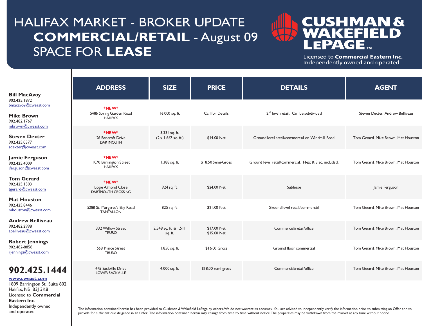## HALIFAX MARKET - BROKER UPDATE **COMMERCIAL/RETAIL** - August 09 SPACE FOR **LEASE**



Licensed to Commercial Eastern Inc. Independently owned and operated

| <b>Bill MacAvoy</b>                                                                                                           | <b>ADDRESS</b>                                           | <b>SIZE</b>                                 | <b>PRICE</b>               | <b>DETAILS</b>                                         | <b>AGENT</b>                        |
|-------------------------------------------------------------------------------------------------------------------------------|----------------------------------------------------------|---------------------------------------------|----------------------------|--------------------------------------------------------|-------------------------------------|
| 902.425.1872<br>bmacavoy@cweast.com<br><b>Mike Brown</b><br>902.482.1767                                                      | *NEW*<br>5486 Spring Garden Road<br><b>HAUFAX</b>        | 16,000 sq. ft.                              | Call for Details           | 2 <sup>nd</sup> level retail. Can be subdivided        | Steven Dexter, Andrew Belliveau     |
| mbrown@cweast.com<br><b>Steven Dexter</b><br>902.425.0377<br>sdexter@cweast.com                                               | *NEW*<br>26 Bancroft Drive<br><b>DARTMOUTH</b>           | 3,334 sq. ft.<br>$(2 \times 1,667$ sq. ft.) | \$14.00 Net                | Ground level retail/commercial on Windmill Road        | Tom Gerard, Mike Brown, Mat Houston |
| Jamie Ferguson<br>902.425.4009<br>jferguson@cweast.com                                                                        | *NEW*<br>1070 Barrington Street<br><b>HAUFAX</b>         | 1,388 sq. ft.                               | \$18.50 Semi-Gross         | Ground level retail/commercial. Heat & Elec. included. | Tom Gerard, Mike Brown, Mat Houston |
| <b>Tom Gerard</b><br>902.425.1303<br>tgerard@cweast.com                                                                       | *NEW*<br>Logie Almond Close<br><b>DARTMOUTH CROSSING</b> | 924 sq. ft.                                 | \$24.00 Net                | Sublease                                               | Jamie Ferguson                      |
| <b>Mat Houston</b><br>902.425.8446<br>mhouston@cweast.com                                                                     | 5288 St. Margaret's Bay Road<br><b>TANTALLON</b>         | 825 sq. ft.                                 | \$21.00 Net                | Ground level retail/commercial                         | Tom Gerard, Mike Brown, Mat Houston |
| <b>Andrew Belliveau</b><br>902.482.2998<br>abelliveau@cweast.com                                                              | 332 Willow Street<br><b>TRURO</b>                        | 2,548 sq. ft. & 1,511<br>sq. ft.            | \$17.00 Net<br>\$15.00 Net | Commercial/retail/office                               | Tom Gerard, Mike Brown, Mat Houston |
| <b>Robert Jennings</b><br>902.482-8858<br>rjennings@cweast.com                                                                | 568 Prince Street<br><b>TRURO</b>                        | 1,850 sq. ft.                               | \$16.00 Gross              | Ground floor commercial                                | Tom Gerard, Mike Brown, Mat Houston |
| 902.425.1444<br>www.cweast.com                                                                                                | 445 Sackville Drive<br>LOWER SACKVILLE                   | 4,000 sq. ft.                               | \$18.00 semi-gross         | Commercial/retail/office                               | Tom Gerard, Mike Brown, Mat Houston |
| 1809 Barrington St., Suite 802<br>Halifax, NS B3J 3K8<br>Licensed to <b>Commercial</b><br>Eastern Inc.<br>Independently owned | .                                                        |                                             | A1111A11B1                 |                                                        |                                     |

and operated

I

I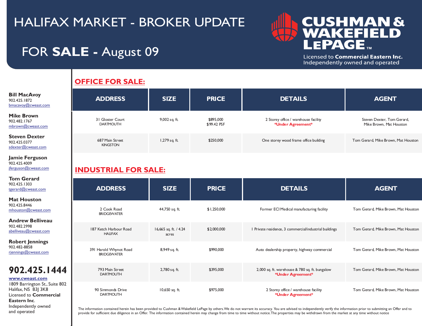#### **CUSHMAN & ELD** 51 S I I EPAGE...

Licensed to Commercial Eastern Inc. Independently owned and operated

## FOR **SALE -** August 09

#### **OFFICE FOR SALE:**

| <b>Bill MacAvoy</b><br>902.425.1872<br>$b$ macavoy $@$ cweast.com | <b>ADDRESS</b>                       | <b>SIZE</b>   | <b>PRICE</b>             | <b>DETAILS</b>                                            | <b>AGENT</b>                                          |  |
|-------------------------------------------------------------------|--------------------------------------|---------------|--------------------------|-----------------------------------------------------------|-------------------------------------------------------|--|
| <b>Mike Brown</b><br>902.482.1767<br>mbrown@cweast.com            | 31 Gloster Court<br><b>DARTMOUTH</b> | 9,002 sq. ft. | \$895,000<br>\$99.42 PSF | 2 Storey office / warehouse facility<br>*Under Agreement* | Steven Dexter, Tom Gerard,<br>Mike Brown, Mat Houston |  |
| <b>Steven Dexter</b><br>902.425.0377<br>sdexter@cweast.com        | 687 Main Street<br><b>KINGSTON</b>   | 1,279 sq. ft. | \$250,000                | One storey wood frame office building                     | Tom Gerard, Mike Brown, Mat Houston                   |  |

**Jamie Ferguson** 902.425.4009 [jferguson@cweast.com](mailto:jferguson@cweast.com)

I

I

**Eastern Inc**. Independently owned and operated

#### **INDUSTRIAL FOR SALE:**

| Tom Gerard                                                                                                               |                                              |                                |              |                                                                     |                                     |  |  |  |
|--------------------------------------------------------------------------------------------------------------------------|----------------------------------------------|--------------------------------|--------------|---------------------------------------------------------------------|-------------------------------------|--|--|--|
| 902.425.1303<br>tgerard@cweast.com                                                                                       | <b>ADDRESS</b>                               | <b>SIZE</b>                    | <b>PRICE</b> | <b>DETAILS</b>                                                      | <b>AGENT</b>                        |  |  |  |
| Mat Houston<br>902.425.8446<br>mhouston@cweast.com                                                                       | 2 Cook Road<br><b>BRIDGEWATER</b>            | 44,750 sq. ft.                 | \$1,250,000  | Former ECI Medical manufacturing facility                           | Tom Gerard, Mike Brown, Mat Houston |  |  |  |
| <b>Andrew Belliveau</b><br>902.482.2998<br>abelliveau@cweast.com                                                         | 187 Ketch Harbour Road<br><b>HAUFAX</b>      | 16,665 sq. ft. / 4.24<br>acres | \$2,000,000  | I Private residence, 3 commercial/industrial buildings              | Tom Gerard, Mike Brown, Mat Houston |  |  |  |
| <b>Robert Jennings</b><br>902.482-8858<br>riennings@cweast.com                                                           | 391 Harold Whynot Road<br><b>BRIDGEWATER</b> | 8,949 sq. ft.                  | \$990,000    | Auto dealership property, highway commercial                        | Tom Gerard, Mike Brown, Mat Houston |  |  |  |
| 902.425.1444<br>www.cweast.com<br>1809 Barrington St., Suite 802<br>Halifax, NS B3J 3K8<br>Licensed to <b>Commercial</b> | 793 Main Street<br><b>DARTMOUTH</b>          | 2,780 sq. ft.                  | \$395,000    | 2,000 sq. ft. warehouse & 780 sq. ft. bungalow<br>*Under Agreement* | Tom Gerard, Mike Brown, Mat Houston |  |  |  |
|                                                                                                                          | 90 Simmonds Drive<br><b>DARTMOUTH</b>        | 10,650 sq. ft.                 | \$975,000    | 2 Storey office / warehouse facility<br>*Under Agreement*           | Tom Gerard, Mike Brown, Mat Houston |  |  |  |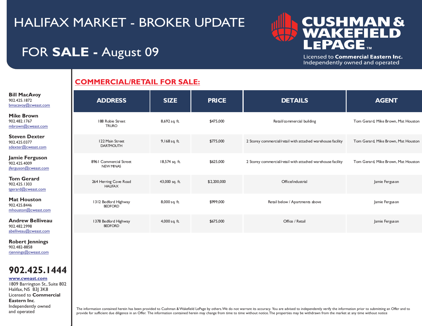#### **CUSHMAN &** ELD EPAGE.

Licensed to Commercial Eastern Inc. Independently owned and operated

### FOR **SALE -** August 09

#### **COMMERCIAL/RETAIL FOR SALE:**

| <b>Bill MacAvoy</b><br>902.425.1872<br>bmacavoy@cweast.com              | <b>ADDRESS</b>                             | <b>SIZE</b>    | <b>PRICE</b> | <b>DETAILS</b>                                              | <b>AGENT</b>                        |
|-------------------------------------------------------------------------|--------------------------------------------|----------------|--------------|-------------------------------------------------------------|-------------------------------------|
| <b>Mike Brown</b><br>902.482.1767<br>mbrown@cweast.com                  | 188 Robie Street<br><b>TRURO</b>           | 8,692 sq. ft.  | \$475,000    | Retail/commercial building                                  | Tom Gerard, Mike Brown, Mat Houston |
| Steven Dexter<br>902.425.0377<br>sdexter@cweast.com                     | 122 Main Street<br><b>DARTMOUTH</b>        | 9,168 sq. ft.  | \$775,000    | 2 Storey commercial/retail with attached warehouse facility | Tom Gerard, Mike Brown, Mat Houston |
| Jamie Ferguson<br>902.425.4009<br>iferguson@cweast.com                  | 8961 Commercial Street<br><b>NEW MINAS</b> | 18,574 sq. ft. | \$625,000    | 2 Storey commercial/retail with attached warehouse facility | Tom Gerard, Mike Brown, Mat Houston |
| <b>Tom Gerard</b><br>902.425.1303<br>tgerard@cweast.com                 | 264 Herring Cove Road<br><b>HAUFAX</b>     | 43,000 sq. ft. | \$2,200,000  | Office/industrial                                           | Jamie Ferguson                      |
| Mat Houston<br>902.425.8446<br>mhouston@cweast.com                      | 1312 Bedford Highway<br><b>BEDFORD</b>     | 8,000 sq. ft.  | \$999,000    | Retail below / Apartments above                             | Jamie Ferguson                      |
| <b>Andrew Belliveau</b><br>902.482.2998<br>$ab$ elliveau $@$ cweast.com | 1378 Bedford Highway<br><b>BEDFORD</b>     | 4,000 sq. ft.  | \$675,000    | Office / Retail                                             | Jamie Ferguson                      |
| <b>Robert Jennings</b>                                                  |                                            |                |              |                                                             |                                     |

902.482-8858 [rjennings@cweast.com](mailto:rjennings@cweast.com)

I

I



1809 Barrington St., Suite 802 Halifax, NS B3| 3K8 Licensed to **Commercial Eastern Inc**. Independently owned and operated **[www.cweast.com](http://www.cweast.com)**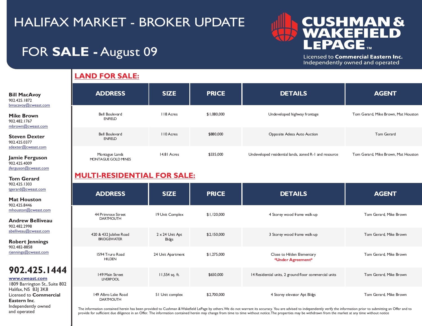

Licensed to Commercial Eastern Inc. Independently owned and operated

### FOR **SALE -** August 09

I

I

**Tom Gerard** 902.425.1303

[jferguson@cweast.com](mailto:jferguson@cweast.com)

**Eastern Inc**. Independently owned and operated

#### **LAND FOR SALE:**

| <b>Bill MacAvoy</b><br>902.425.1872<br>bmacavoy@cweast.com | <b>ADDRESS</b>                        | <b>SIZE</b> | <b>PRICE</b> | <b>DETAILS</b>                                        | <b>AGENT</b>                        |
|------------------------------------------------------------|---------------------------------------|-------------|--------------|-------------------------------------------------------|-------------------------------------|
| <b>Mike Brown</b><br>902.482.1767<br>mbrown@cweast.com     | Bell Boulevard<br><b>ENFIELD</b>      | 118 Acres   | \$1,080,000  | Undeveloped highway frontage                          | Tom Gerard, Mike Brown, Mat Houston |
| <b>Steven Dexter</b><br>902.425.0377                       | Bell Boulevard<br><b>ENFIELD</b>      | 110 Acres   | \$880,000    | Opposite Adesa Auto Auction                           | Tom Gerard                          |
| sdexter@cweast.com<br>Jamie Ferguson<br>902.425.4009       | Montague Lands<br>MONTAGUE GOLD MINES | 14.81 Acres | \$335,000    | Undeveloped residential lands, zoned R-1 and resource | Tom Gerard, Mike Brown, Mat Houston |

#### **MULTI-RESIDENTIAL FOR SALE:**

| 902.425.1303<br>tgerard@cweast.com                    | <b>ADDRESS</b>                          | <b>SIZE</b>            | <b>PRICE</b> | <b>DETAILS</b>                                        | <b>AGENT</b>           |
|-------------------------------------------------------|-----------------------------------------|------------------------|--------------|-------------------------------------------------------|------------------------|
| <b>Mat Houston</b><br>902.425.8446                    |                                         |                        |              |                                                       |                        |
| mhouston@cweast.com                                   |                                         |                        |              |                                                       |                        |
| <b>Andrew Belliveau</b><br>902.482.2998               | 44 Primrose Street<br><b>DARTMOUTH</b>  | 19 Unit Complex        | \$1,120,000  | 4 Storey wood frame walk-up                           | Tom Gerard, Mike Brown |
| abelliveau@cweast.com                                 | 420 & 432 Jubilee Road                  | $2 \times 24$ Unit Apt | \$2,150,000  | 3 Storey wood frame walk-up                           | Tom Gerard, Mike Brown |
| <b>Robert Jennings</b>                                | <b>BRIDGEWATER</b>                      | Bldgs                  |              |                                                       |                        |
| 902.482-8858<br>rjennings@cweast.com                  | 1594 Truro Road                         | 24 Unit Apartment      | \$1,275,000  | Close to Hilden Elementary                            | Tom Gerard, Mike Brown |
|                                                       | <b>HILDEN</b>                           |                        |              | *Under Agreement*                                     |                        |
| 902.425.1444                                          |                                         |                        |              |                                                       |                        |
| www.cweast.com                                        | 149 Main Street<br><b>LIVERPOOL</b>     | 11,554 sq. ft.         | \$650,000    | 14 Residential units, 2 ground floor commercial units | Tom Gerard, Mike Brown |
| 1809 Barrington St., Suite 802<br>Halifax, NS B3  3K8 |                                         |                        |              |                                                       |                        |
| Licensed to <b>Commercial</b><br>Eastern Inc.         | 149 Albro Lake Road<br><b>DARTMOUTH</b> | 51 Unit complex        | \$2,700,000  | 4 Storey elevator Apt Bldgs                           | Tom Gerard, Mike Brown |